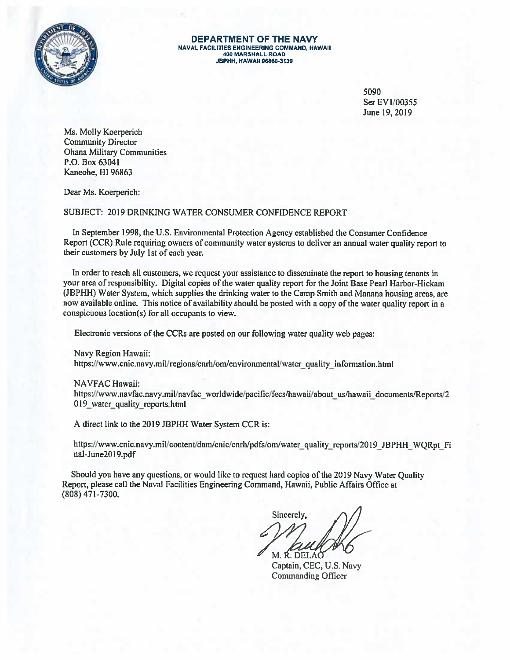

DEPARTMENT OF THE NAVY **NAVAL FACILITIES ENGINEERING COMMAND, HAWAII** 400 MARSHALL ROAD **JBPHH, HAWAII 96860-3139** 

> 5090 Ser EV1/00355 June 19, 2019

Ms. Molly Koerperich **Community Director Ohana Military Communities** P.O. Box 63041 Kaneohe, HI 96863

Dear Ms. Koerperich:

SUBJECT: 2019 DRINKING WATER CONSUMER CONFIDENCE REPORT

In September 1998, the U.S. Environmental Protection Agency established the Consumer Confidence Report (CCR) Rule requiring owners of community water systems to deliver an annual water quality report to their customers by July 1st of each year.

In order to reach all customers, we request your assistance to disseminate the report to housing tenants in your area of responsibility. Digital copies of the water quality report for the Joint Base Pearl Harbor-Hickam (JBPHH) Water System, which supplies the drinking water to the Camp Smith and Manana housing areas, are now available online. This notice of availability should be posted with a copy of the water quality report in a conspicuous location(s) for all occupants to view.

Electronic versions of the CCRs are posted on our following water quality web pages:

Navy Region Hawaii:

https://www.cnic.navy.mil/regions/cnrh/om/environmental/water quality information.html

**NAVFAC Hawaii:** 

https://www.navfac.navy.mil/navfac\_worldwide/pacific/fecs/hawaii/about\_us/hawaii\_documents/Reports/2 019 water quality reports.html

A direct link to the 2019 JBPHH Water System CCR is:

https://www.cnic.navy.mil/content/dam/cnic/cnrh/pdfs/om/water\_quality\_reports/2019 JBPHH WQRpt Fi nal-June2019.pdf

Should you have any questions, or would like to request hard copies of the 2019 Navy Water Quality Report, please call the Naval Facilities Engineering Command, Hawaii, Public Affairs Office at  $(808)$  471-7300.

Sincerely, M. R. DELAO

Captain, CEC, U.S. Navy **Commanding Officer**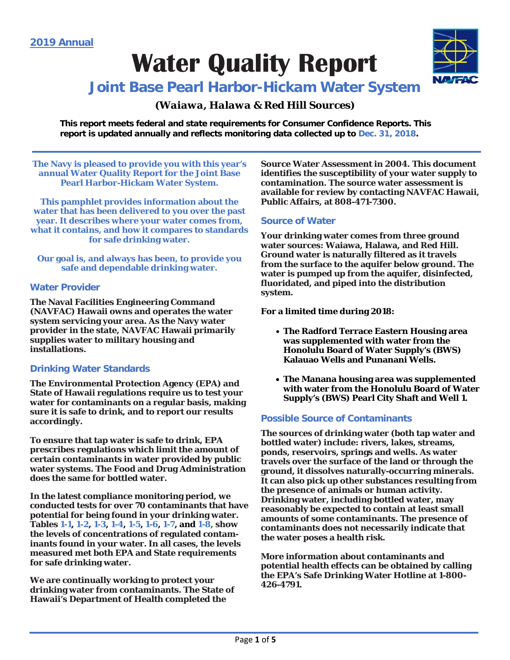# **Water Quality Report**



### **Joint Base Pearl Harbor-Hickam Water System**

#### *(Waiawa, Halawa & Red Hill Sources)*

**This report meets federal and state requirements for Consumer Confidence Reports. This report is updated annually and reflects monitoring data collected up to Dec. 31, 2018.**

**The Navy is pleased to provide you with this year's annual Water Quality Report for the Joint Base Pearl Harbor-Hickam Water System.** 

**This pamphlet provides information about the water that has been delivered to you over the past year. It describes where your water comes from, what it contains, and how it compares to standards for safe drinking water.** 

**Our goal is, and always has been, to provide you safe and dependable drinking water.**

#### **Water Provider**

**The Naval Facilities Engineering Command (NAVFAC) Hawaii owns and operates the water system servicing your area. As the Navy water provider in the state, NAVFAC Hawaii primarily supplies water to military housing and installations.**

#### **Drinking Water Standards**

**The Environmental Protection Agency (EPA) and State of Hawaii regulations require us to test your water for contaminants on a regular basis, making sure it is safe to drink, and to report our results accordingly.**

**To ensure that tap water is safe to drink, EPA prescribes regulations which limit the amount of certain contaminants in water provided by public water systems. The Food and Drug Administration does the same for bottled water.** 

**In the latest compliance monitoring period, we conducted tests for over 70 contaminants that have potential for being found in your drinking water. Tables 1-1, 1-2, 1-3, 1-4, 1-5, 1-6, 1-7, and 1-8, show the levels of concentrations of regulated contaminants found in your water. In all cases, the levels measured met both EPA and State requirements for safe drinking water.**

**We are continually working to protect your drinking water from contaminants. The State of Hawaii's Department of Health completed the** 

**Source Water Assessment in 2004. This document identifies the susceptibility of your water supply to contamination. The source water assessment is available for review by contacting NAVFAC Hawaii, Public Affairs, at 808-471-7300.**

#### **Source of Water**

**Your drinking water comes from three ground water sources: Waiawa, Halawa, and Red Hill. Ground water is naturally filtered as it travels from the surface to the aquifer below ground. The water is pumped up from the aquifer, disinfected, fluoridated, and piped into the distribution system.**

**For a limited time during 2018:**

- **The Radford Terrace Eastern Housing area was supplemented with water from the Honolulu Board of Water Supply's (BWS) Kalauao Wells and Punanani Wells.**
- **The Manana housing area was supplemented with water from the Honolulu Board of Water Supply's (BWS) Pearl City Shaft and Well 1.**

#### **Possible Source of Contaminants**

**The sources of drinking water (both tap water and bottled water) include: rivers, lakes, streams, ponds, reservoirs, springs and wells. As water travels over the surface of the land or through the ground, it dissolves naturally-occurring minerals. It can also pick up other substances resulting from the presence of animals or human activity. Drinking water, including bottled water, may reasonably be expected to contain at least small amounts of some contaminants. The presence of contaminants does not necessarily indicate that the water poses a health risk.**

**More information about contaminants and potential health effects can be obtained by calling the EPA's Safe Drinking Water Hotline at 1-800- 426-4791.**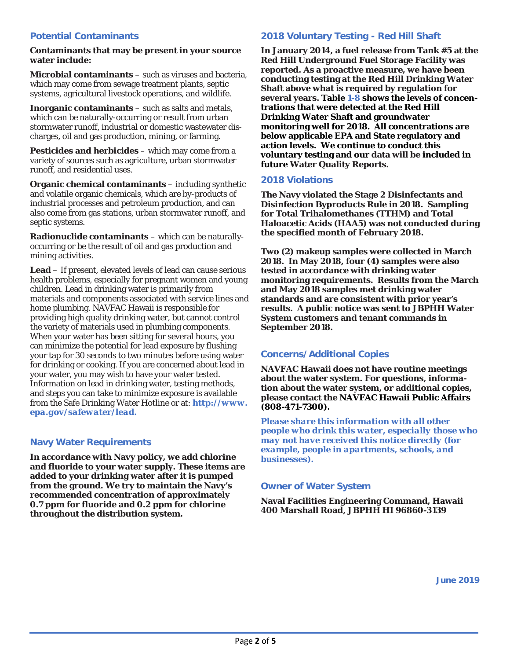#### **Potential Contaminants**

#### **Contaminants that may be present in your source water include:**

**Microbial contaminants** – such as viruses and bacteria, which may come from sewage treatment plants, septic systems, agricultural livestock operations, and wildlife.

**Inorganic contaminants** – such as salts and metals, which can be naturally-occurring or result from urban stormwater runoff, industrial or domestic wastewater discharges, oil and gas production, mining, or farming.

**Pesticides and herbicides** – which may come from a variety of sources such as agriculture, urban stormwater runoff, and residential uses.

**Organic chemical contaminants** – including synthetic and volatile organic chemicals, which are by-products of industrial processes and petroleum production, and can also come from gas stations, urban stormwater runoff, and septic systems.

**Radionuclide contaminants** – which can be naturallyoccurring or be the result of oil and gas production and mining activities.

**Lead** – If present, elevated levels of lead can cause serious health problems, especially for pregnant women and young children. Lead in drinking water is primarily from materials and components associated with service lines and home plumbing. NAVFAC Hawaii is responsible for providing high quality drinking water, but cannot control the variety of materials used in plumbing components. When your water has been sitting for several hours, you can minimize the potential for lead exposure by flushing your tap for 30 seconds to two minutes before using water for drinking or cooking. If you are concerned about lead in your water, you may wish to have your water tested. Information on lead in drinking water, testing methods, and steps you can take to minimize exposure is available from the Safe Drinking Water Hotline or at: *http://www. epa.gov/safewater/lead.*

#### **Navy Water Requirements**

**In accordance with Navy policy, we add chlorine and fluoride to your water supply. These items are added to your drinking water after it is pumped from the ground. We try to maintain the Navy's recommended concentration of approximately 0.7 ppm for fluoride and 0.2 ppm for chlorine throughout the distribution system.**

#### **2018 Voluntary Testing - Red Hill Shaft**

**In January 2014, a fuel release from Tank #5 at the Red Hill Underground Fuel Storage Facility was reported. As a proactive measure, we have been conducting testing at the Red Hill Drinking Water Shaft above what is required by regulation for several years. Table 1-8 shows the levels of concentrations that were detected at the Red Hill Drinking Water Shaft and groundwater monitoring well for 2018. All concentrations are below applicable EPA and State regulatory and action levels. We continue to conduct this voluntary testing and our data will be included in future Water Quality Reports.**

#### **2018 Violations**

**The Navy violated the Stage 2 Disinfectants and Disinfection Byproducts Rule in 2018. Sampling for Total Trihalomethanes (TTHM) and Total Haloacetic Acids (HAA5) was not conducted during the specified month of February 2018.** 

**Two (2) makeup samples were collected in March 2018. In May 2018, four (4) samples were also tested in accordance with drinking water monitoring requirements. Results from the March and May 2018 samples met drinking water standards and are consistent with prior year's results. A public notice was sent to JBPHH Water System customers and tenant commands in September 2018.** 

#### **Concerns/Additional Copies**

**NAVFAC Hawaii does not have routine meetings about the water system. For questions, information about the water system, or additional copies, please contact the NAVFAC Hawaii Public Affairs (808-471-7300).** 

*Please share this information with all other people who drink this water, especially those who may not have received this notice directly (for example, people in apartments, schools, and businesses).*

#### **Owner of Water System**

**Naval Facilities Engineering Command, Hawaii 400 Marshall Road, JBPHH HI 96860-3139**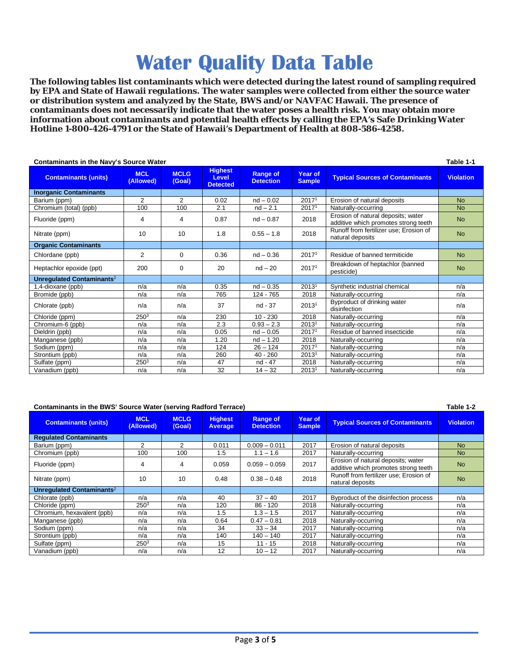## **Water Quality Data Table**

**The following tables list contaminants which were detected during the latest round of sampling required by EPA and State of Hawaii regulations. The water samples were collected from either the source water or distribution system and analyzed by the State, BWS and/or NAVFAC Hawaii. The presence of contaminants does not necessarily indicate that the water poses a health risk. You may obtain more information about contaminants and potential health effects by calling the EPA's Safe Drinking Water Hotline 1-800-426-4791 or the State of Hawaii's Department of Health at 808-586-4258.**

| <b>Contaminants in the Navy's Source Water</b> |                         |                       |                                                   |                                     |                          |                                                                            |                  |  |  |
|------------------------------------------------|-------------------------|-----------------------|---------------------------------------------------|-------------------------------------|--------------------------|----------------------------------------------------------------------------|------------------|--|--|
| <b>Contaminants (units)</b>                    | <b>MCL</b><br>(Allowed) | <b>MCLG</b><br>(Goal) | <b>Highest</b><br><b>Level</b><br><b>Detected</b> | <b>Range of</b><br><b>Detection</b> | Year of<br><b>Sample</b> | <b>Typical Sources of Contaminants</b>                                     | <b>Violation</b> |  |  |
| <b>Inorganic Contaminants</b>                  |                         |                       |                                                   |                                     |                          |                                                                            |                  |  |  |
| Barium (ppm)                                   | $\overline{2}$          | $\overline{2}$        | 0.02                                              | $nd - 0.02$                         | 20171                    | Erosion of natural deposits                                                | <b>No</b>        |  |  |
| Chromium (total) (ppb)                         | 100                     | 100                   | 2.1                                               | $nd - 2.1$                          | 20171                    | Naturally-occurring                                                        | <b>No</b>        |  |  |
| Fluoride (ppm)                                 | 4                       | 4                     | 0.87                                              | $nd - 0.87$                         | 2018                     | Erosion of natural deposits; water<br>additive which promotes strong teeth | <b>No</b>        |  |  |
| Nitrate (ppm)                                  | 10                      | 10                    | 1.8                                               | $0.55 - 1.8$                        | 2018                     | Runoff from fertilizer use; Erosion of<br>natural deposits                 | <b>No</b>        |  |  |
| <b>Organic Contaminants</b>                    |                         |                       |                                                   |                                     |                          |                                                                            |                  |  |  |
| Chlordane (ppb)                                | 2                       | $\mathbf 0$           | 0.36                                              | $nd - 0.36$                         | 20171                    | Residue of banned termiticide                                              | <b>No</b>        |  |  |
| Heptachlor epoxide (ppt)                       | 200                     | $\Omega$              | 20                                                | $nd - 20$                           | 2017 <sup>1</sup>        | Breakdown of heptachlor (banned<br>pesticide)                              | <b>No</b>        |  |  |
| Unregulated Contaminants <sup>2</sup>          |                         |                       |                                                   |                                     |                          |                                                                            |                  |  |  |
| 1,4-dioxane (ppb)                              | n/a                     | n/a                   | 0.35                                              | $nd - 0.35$                         | 20131                    | Synthetic industrial chemical                                              | n/a              |  |  |
| Bromide (ppb)                                  | n/a                     | n/a                   | 765                                               | 124 - 765                           | 2018                     | Naturally-occurring                                                        | n/a              |  |  |
| Chlorate (ppb)                                 | n/a                     | n/a                   | 37                                                | nd - 37                             | 2013 <sup>1</sup>        | Byproduct of drinking water<br>disinfection                                | n/a              |  |  |
| Chloride (ppm)                                 | 250 <sup>3</sup>        | n/a                   | 230                                               | $10 - 230$                          | 2018                     | Naturally-occurring                                                        | n/a              |  |  |
| Chromium-6 (ppb)                               | n/a                     | n/a                   | 2.3                                               | $0.93 - 2.3$                        | 2013 <sup>1</sup>        | Naturally-occurring                                                        | n/a              |  |  |
| Dieldrin (ppb)                                 | n/a                     | n/a                   | 0.05                                              | $nd - 0.05$                         | 20171                    | Residue of banned insecticide                                              | n/a              |  |  |
| Manganese (ppb)                                | n/a                     | n/a                   | 1.20                                              | $nd - 1.20$                         | 2018                     | Naturally-occurring                                                        | n/a              |  |  |
| Sodium (ppm)                                   | n/a                     | n/a                   | 124                                               | $26 - 124$                          | 20171                    | Naturally-occurring                                                        | n/a              |  |  |
| Strontium (ppb)                                | n/a                     | n/a                   | 260                                               | $40 - 260$                          | 20131                    | Naturally-occurring                                                        | n/a              |  |  |
| Sulfate (ppm)                                  | 250 <sup>3</sup>        | n/a                   | 47                                                | nd - 47                             | 2018                     | Naturally-occurring                                                        | n/a              |  |  |
| Vanadium (ppb)                                 | n/a                     | n/a                   | 32                                                | $14 - 32$                           | 20131                    | Naturally-occurring                                                        | n/a              |  |  |

#### **Contaminants in the BWS' Source Water (serving Radford Terrace) Table 1-2**

| <b>Contaminants (units)</b>           | <b>MCL</b><br>(Allowed), | <b>MCLG</b><br>(Goal) | <b>Highest</b><br><b>Average</b> | <b>Range of</b><br><b>Detection</b> | Year of<br><b>Sample</b> | <b>Typical Sources of Contaminants</b>                                     | <b>Violation</b> |
|---------------------------------------|--------------------------|-----------------------|----------------------------------|-------------------------------------|--------------------------|----------------------------------------------------------------------------|------------------|
| <b>Requlated Contaminants</b>         |                          |                       |                                  |                                     |                          |                                                                            |                  |
| Barium (ppm)                          | 2                        | 2                     | 0.011                            | $0.009 - 0.011$                     | 2017                     | Erosion of natural deposits                                                | <b>No</b>        |
| Chromium (ppb)                        | 100                      | 100                   | 1.5                              | $1.1 - 1.6$                         | 2017                     | Naturally-occurring                                                        | <b>No</b>        |
| Fluoride (ppm)                        | 4                        | 4                     | 0.059                            | $0.059 - 0.059$                     | 2017                     | Erosion of natural deposits; water<br>additive which promotes strong teeth | <b>No</b>        |
| Nitrate (ppm)                         | 10                       | 10                    | 0.48                             | $0.38 - 0.48$                       | 2018                     | Runoff from fertilizer use; Erosion of<br>natural deposits                 | <b>No</b>        |
| Unregulated Contaminants <sup>2</sup> |                          |                       |                                  |                                     |                          |                                                                            |                  |
| Chlorate (ppb)                        | n/a                      | n/a                   | 40                               | $37 - 40$                           | 2017                     | Byproduct of the disinfection process                                      | n/a              |
| Chloride (ppm)                        | 2503                     | n/a                   | 120                              | $86 - 120$                          | 2018                     | Naturally-occurring                                                        | n/a              |
| Chromium, hexavalent (ppb)            | n/a                      | n/a                   | 1.5                              | $1.3 - 1.5$                         | 2017                     | Naturally-occurring                                                        | n/a              |
| Manganese (ppb)                       | n/a                      | n/a                   | 0.64                             | $0.47 - 0.81$                       | 2018                     | Naturally-occurring                                                        | n/a              |
| Sodium (ppm)                          | n/a                      | n/a                   | 34                               | $33 - 34$                           | 2017                     | Naturally-occurring                                                        | n/a              |
| Strontium (ppb)                       | n/a                      | n/a                   | 140                              | 140 – 140                           | 2017                     | Naturally-occurring                                                        | n/a              |
| Sulfate (ppm)                         | 250 <sup>3</sup>         | n/a                   | 15                               | $11 - 15$                           | 2018                     | Naturally-occurring                                                        | n/a              |
| Vanadium (ppb)                        | n/a                      | n/a                   | 12                               | $10 - 12$                           | 2017                     | Naturally-occurring                                                        | n/a              |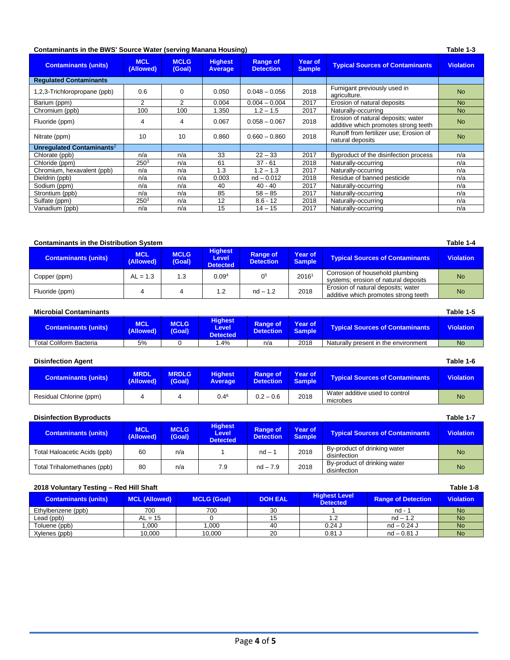#### **Contaminants in the BWS' Source Water (serving Manana Housing) Table 1-3**

| <b>Contaminants (units)</b>           | <b>MCL</b><br>(Allowed) | <b>MCLG</b><br>(Goal) | <b>Highest</b><br><b>Average</b> | <b>Range of</b><br><b>Detection</b> | <b>Year of</b><br><b>Sample</b> | <b>Typical Sources of Contaminants</b>                                     | Violation |
|---------------------------------------|-------------------------|-----------------------|----------------------------------|-------------------------------------|---------------------------------|----------------------------------------------------------------------------|-----------|
| <b>Requlated Contaminants</b>         |                         |                       |                                  |                                     |                                 |                                                                            |           |
| 1,2,3-Trichloropropane (ppb)          | 0.6                     | 0                     | 0.050                            | $0.048 - 0.056$                     | 2018                            | Fumigant previously used in<br>agriculture.                                | <b>No</b> |
| Barium (ppm)                          | 2                       | 2                     | 0.004                            | $0.004 - 0.004$                     | 2017                            | Erosion of natural deposits                                                | <b>No</b> |
| Chromium (ppb)                        | 100                     | 100                   | 1.350                            | $1.2 - 1.5$                         | 2017                            | Naturally-occurring                                                        | <b>No</b> |
| Fluoride (ppm)                        | 4                       | 4                     | 0.067                            | $0.058 - 0.067$                     | 2018                            | Erosion of natural deposits; water<br>additive which promotes strong teeth | <b>No</b> |
| Nitrate (ppm)                         | 10                      | 10                    | 0.860                            | $0.660 - 0.860$                     | 2018                            | Runoff from fertilizer use; Erosion of<br>natural deposits                 | <b>No</b> |
| Unregulated Contaminants <sup>2</sup> |                         |                       |                                  |                                     |                                 |                                                                            |           |
| Chlorate (ppb)                        | n/a                     | n/a                   | 33                               | $22 - 33$                           | 2017                            | Byproduct of the disinfection process                                      | n/a       |
| Chloride (ppm)                        | 250 <sup>3</sup>        | n/a                   | 61                               | $37 - 61$                           | 2018                            | Naturally-occurring                                                        | n/a       |
| Chromium, hexavalent (ppb)            | n/a                     | n/a                   | 1.3                              | $1.2 - 1.3$                         | 2017                            | Naturally-occurring                                                        | n/a       |
| Dieldrin (ppb)                        | n/a                     | n/a                   | 0.003                            | $nd - 0.012$                        | 2018                            | Residue of banned pesticide                                                | n/a       |
| Sodium (ppm)                          | n/a                     | n/a                   | 40                               | $40 - 40$                           | 2017                            | Naturally-occurring                                                        | n/a       |
| Strontium (ppb)                       | n/a                     | n/a                   | 85                               | $58 - 85$                           | 2017                            | Naturally-occurring                                                        | n/a       |
| Sulfate (ppm)                         | 250 <sup>3</sup>        | n/a                   | 12                               | $8.6 - 12$                          | 2018                            | Naturally-occurring                                                        | n/a       |
| Vanadium (ppb)                        | n/a                     | n/a                   | 15                               | $14 - 15$                           | 2017                            | Naturally-occurring                                                        | n/a       |

#### **Contaminants in the Distribution System Contaminants of the United States of the United States of the United States of the United States of the United States of the United States of the United States of the United States**

| <b>Contaminants (units)</b> | <b>MCL</b><br>(Allowed) | <b>MCLG</b><br>(Goal) | <b>Highest</b><br>Level<br><b>Detected</b> | <b>Range of</b><br><b>Detection</b> | Year of<br><b>Sample</b> | <b>Typical Sources of Contaminants</b>                                     | <b>Violation</b> |
|-----------------------------|-------------------------|-----------------------|--------------------------------------------|-------------------------------------|--------------------------|----------------------------------------------------------------------------|------------------|
| Copper (ppm)                | $AL = 1.3$              | 1.3                   | 0.09 <sup>4</sup>                          | 0 <sup>5</sup>                      | 20161                    | Corrosion of household plumbing<br>systems; erosion of natural deposits    | <b>No</b>        |
| Fluoride (ppm)              |                         |                       | 1.2                                        | $nd - 1.2$                          | 2018                     | Erosion of natural deposits; water<br>additive which promotes strong teeth | <b>No</b>        |

| <b>Microbial Contaminants</b>  |                  |                       |                                            |                                     |                          |                                        |                  |  |  |
|--------------------------------|------------------|-----------------------|--------------------------------------------|-------------------------------------|--------------------------|----------------------------------------|------------------|--|--|
| Contaminants (units) ,         | MCL<br>(Allowed) | <b>MCLG</b><br>(Goal) | <b>Highest</b><br>Level<br><b>Detected</b> | <b>Range of</b><br><b>Detection</b> | Year of<br><b>Sample</b> | <b>Typical Sources of Contaminants</b> | <b>Violation</b> |  |  |
| <b>Total Coliform Bacteria</b> | 5%               |                       | .4%                                        | n/a                                 | 2018                     | Naturally present in the environment   | No               |  |  |

| <b>Disinfection Agent</b>   |                          |                                                                                                                                                           |                  |                  |      |                                            |           |
|-----------------------------|--------------------------|-----------------------------------------------------------------------------------------------------------------------------------------------------------|------------------|------------------|------|--------------------------------------------|-----------|
| <b>Contaminants (units)</b> | <b>MRDL</b><br>(Allowed) | <b>MRDLG</b><br><b>Highest</b><br>Year of<br><b>Range of</b><br><b>Typical Sources of Contaminants</b><br>(Goal)<br>Detection<br><b>Sample</b><br>Average |                  | <b>Violation</b> |      |                                            |           |
| Residual Chlorine (ppm)     | 4                        | 4                                                                                                                                                         | 0.4 <sup>6</sup> | $0.2 - 0.6$      | 2018 | Water additive used to control<br>microbes | <b>No</b> |

| <b>Disinfection Byproducts</b> |  |
|--------------------------------|--|
|                                |  |

| <b>Disinfection Byproducts</b> |                         |                       |                                                   |                                     |                          |                                              |                  |  |
|--------------------------------|-------------------------|-----------------------|---------------------------------------------------|-------------------------------------|--------------------------|----------------------------------------------|------------------|--|
| <b>Contaminants (units)</b>    | <b>MCL</b><br>(Allowed) | <b>MCLG</b><br>(Goal) | <b>Highest</b><br><b>Level</b><br><b>Detected</b> | <b>Range of</b><br><b>Detection</b> | Year of<br><b>Sample</b> | <b>Typical Sources of Contaminants</b>       | <b>Violation</b> |  |
| Total Haloacetic Acids (ppb)   | 60                      | n/a                   |                                                   | $nd - 3$                            | 2018                     | By-product of drinking water<br>disinfection | <b>No</b>        |  |
| Total Trihalomethanes (ppb)    | 80                      | n/a                   | 7.9                                               | $nd - 7.9$                          | 2018                     | By-product of drinking water<br>disinfection | <b>No</b>        |  |

#### **2018 Voluntary Testing – Red Hill Shaft Table 1-8**

| <b>Contaminants (units)</b> | <b>MCL (Allowed)</b> | <b>MCLG (Goal)</b> | <b>DOH EAL</b> | <b>Highest Level</b><br><b>Detected</b> | <b>Range of Detection</b> | <b>Violation</b> |
|-----------------------------|----------------------|--------------------|----------------|-----------------------------------------|---------------------------|------------------|
| Ethylbenzene (ppb)          | 700                  | 700                | 30             |                                         | $nd -$                    | <b>No</b>        |
| Lead (ppb)                  | $AL = 15$            |                    |                |                                         | $nd - 1.2$                | <b>No</b>        |
| Toluene (ppb)               | .000                 | .000               | 40             | $0.24$ J                                | $nd - 0.24$ J             | <b>No</b>        |
| Xylenes (ppb)               | 10.000               | 10.000             | 20             | $0.81$ J                                | $nd - 0.81$ J             | <b>No</b>        |